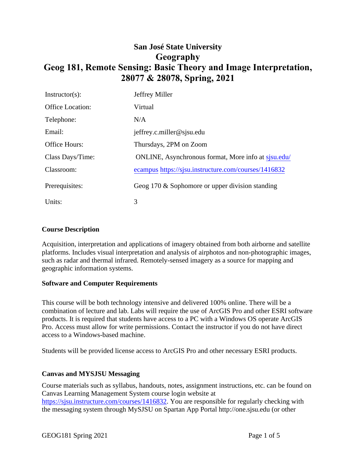# **San José State University Geography Geog 181, Remote Sensing: Basic Theory and Image Interpretation, 28077 & 28078, Spring, 2021**

| $Instructor(s)$ :       | Jeffrey Miller                                       |
|-------------------------|------------------------------------------------------|
| <b>Office Location:</b> | Virtual                                              |
| Telephone:              | N/A                                                  |
| Email:                  | jeffrey.c.miller@sjsu.edu                            |
| <b>Office Hours:</b>    | Thursdays, 2PM on Zoom                               |
| Class Days/Time:        | ONLINE, Asynchronous format, More info at sisu.edu/  |
| Classroom:              | ecampus https://sjsu.instructure.com/courses/1416832 |
| Prerequisites:          | Geog 170 $\&$ Sophomore or upper division standing   |
| Units:                  | 3                                                    |

#### **Course Description**

Acquisition, interpretation and applications of imagery obtained from both airborne and satellite platforms. Includes visual interpretation and analysis of airphotos and non-photographic images, such as radar and thermal infrared. Remotely-sensed imagery as a source for mapping and geographic information systems.

#### **Software and Computer Requirements**

This course will be both technology intensive and delivered 100% online. There will be a combination of lecture and lab. Labs will require the use of ArcGIS Pro and other ESRI software products. It is required that students have access to a PC with a Windows OS operate ArcGIS Pro. Access must allow for write permissions. Contact the instructor if you do not have direct access to a Windows-based machine.

Students will be provided license access to ArcGIS Pro and other necessary ESRI products.

## **Canvas and MYSJSU Messaging**

Course materials such as syllabus, handouts, notes, assignment instructions, etc. can be found on Canvas Learning Management System course login website at https://sjsu.instructure.com/courses/1416832. You are responsible for regularly checking with the messaging system through MySJSU on Spartan App Portal http://one.sjsu.edu (or other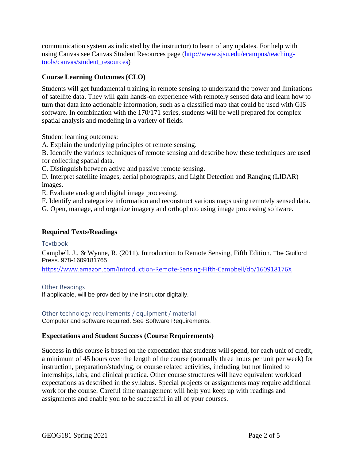communication system as indicated by the instructor) to learn of any updates. For help with using Canvas see [Canvas Student Resources page](http://www.sjsu.edu/ecampus/teaching-tools/canvas/student_resources) [\(http://www.sjsu.edu/ecampus/teaching](http://www.sjsu.edu/ecampus/teaching-tools/canvas/student_resources)[tools/canvas/student\\_resources\)](http://www.sjsu.edu/ecampus/teaching-tools/canvas/student_resources)

## **Course Learning Outcomes (CLO)**

Students will get fundamental training in remote sensing to understand the power and limitations of satellite data. They will gain hands-on experience with remotely sensed data and learn how to turn that data into actionable information, such as a classified map that could be used with GIS software. In combination with the 170/171 series, students will be well prepared for complex spatial analysis and modeling in a variety of fields.

Student learning outcomes:

A. Explain the underlying principles of remote sensing.

B. Identify the various techniques of remote sensing and describe how these techniques are used for collecting spatial data.

C. Distinguish between active and passive remote sensing.

D. Interpret satellite images, aerial photographs, and Light Detection and Ranging (LIDAR) images.

E. Evaluate analog and digital image processing.

F. Identify and categorize information and reconstruct various maps using remotely sensed data.

G. Open, manage, and organize imagery and orthophoto using image processing software.

## **Required Texts/Readings**

Textbook

Campbell, J., & Wynne, R. (2011). Introduction to Remote Sensing, Fifth Edition. The Guilford Press. 978-1609181765

<https://www.amazon.com/Introduction-Remote-Sensing-Fifth-Campbell/dp/160918176X>

Other Readings

If applicable, will be provided by the instructor digitally.

#### Other technology requirements / equipment / material

Computer and software required. See Software Requirements.

## **Expectations and Student Success (Course Requirements)**

Success in this course is based on the expectation that students will spend, for each unit of credit, a minimum of 45 hours over the length of the course (normally three hours per unit per week) for instruction, preparation/studying, or course related activities, including but not limited to internships, labs, and clinical practica. Other course structures will have equivalent workload expectations as described in the syllabus. Special projects or assignments may require additional work for the course. Careful time management will help you keep up with readings and assignments and enable you to be successful in all of your courses.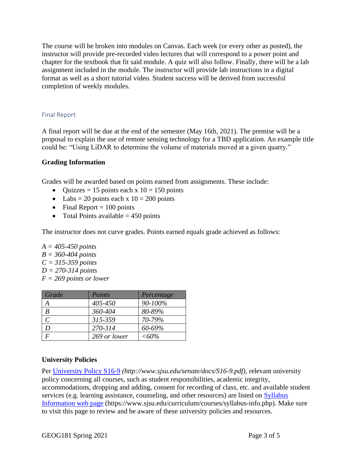The course will be broken into modules on Canvas. Each week (or every other as posted), the instructor will provide pre-recorded video lectures that will correspond to a power point and chapter for the textbook that fit said module. A quiz will also follow. Finally, there will be a lab assignment included in the module. The instructor will provide lab instructions in a digital format as well as a short tutorial video. Student success will be derived from successful completion of weekly modules.

#### Final Report

A final report will be due at the end of the semester (May 16th, 2021). The premise will be a proposal to explain the use of remote sensing technology for a TBD application. An example title could be: "Using LiDAR to determine the volume of materials moved at a given quarry."

## **Grading Information**

Grades will be awarded based on points earned from assignments. These include:

- Quizzes = 15 points each x  $10 = 150$  points
- Labs = 20 points each x  $10 = 200$  points
- Final Report  $= 100$  points
- Total Points available  $= 450$  points

The instructor does not curve grades. Points earned equals grade achieved as follows:

*A = 405-450 points B = 360-404 points C = 315-359 points D = 270-314 points F = 269 points or lower*

| Grade                       | Points       | Percentage    |
|-----------------------------|--------------|---------------|
|                             | 405-450      | 90-100%       |
| B                           | 360-404      | 80-89%        |
| $\mathcal{C}_{\mathcal{C}}$ | 315-359      | 70-79%        |
|                             | 270-314      | 60-69%        |
|                             | 269 or lower | $<\!\!60\!\%$ |

## **University Policies**

Per [University Policy S16-9](http://www.sjsu.edu/senate/docs/S16-9.pdf) *(http://www.sjsu.edu/senate/docs/S16-9.pdf)*, relevant university policy concerning all courses, such as student responsibilities, academic integrity, accommodations, dropping and adding, consent for recording of class, etc. and available student services (e.g. learning assistance, counseling, and other resources) are listed on [Syllabus](https://www.sjsu.edu/curriculum/courses/syllabus-info.php)  [Information](https://www.sjsu.edu/curriculum/courses/syllabus-info.php) web page (https://www.sjsu.edu/curriculum/courses/syllabus-info.php). Make sure to visit this page to review and be aware of these university policies and resources.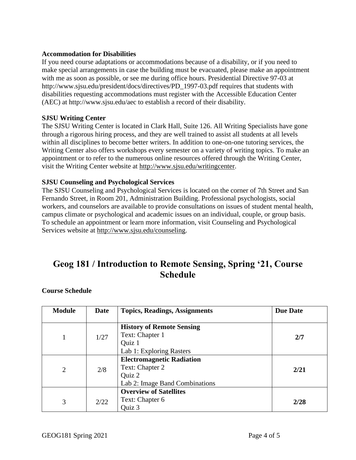## **Accommodation for Disabilities**

If you need course adaptations or accommodations because of a disability, or if you need to make special arrangements in case the building must be evacuated, please make an appointment with me as soon as possible, or see me during office hours. Presidential Directive 97-03 at http://www.sjsu.edu/president/docs/directives/PD\_1997-03.pdf requires that students with disabilities requesting accommodations must register with the Accessible Education Center (AEC) at http://www.sjsu.edu/aec to establish a record of their disability.

#### **SJSU Writing Center**

The SJSU Writing Center is located in Clark Hall, Suite 126. All Writing Specialists have gone through a rigorous hiring process, and they are well trained to assist all students at all levels within all disciplines to become better writers. In addition to one-on-one tutoring services, the Writing Center also offers workshops every semester on a variety of writing topics. To make an appointment or to refer to the numerous online resources offered through the Writing Center, visit the Writing Center website at [http://www.sjsu.edu/writingcenter.](http://www.sjsu.edu/writingcenter)

#### **SJSU Counseling and Psychological Services**

The SJSU Counseling and Psychological Services is located on the corner of 7th Street and San Fernando Street, in Room 201, Administration Building. Professional psychologists, social workers, and counselors are available to provide consultations on issues of student mental health, campus climate or psychological and academic issues on an individual, couple, or group basis. To schedule an appointment or learn more information, visit Counseling and Psychological Services website at [http://www.sjsu.edu/counseling.](http://www.sjsu.edu/counseling)

## **Geog 181 / Introduction to Remote Sensing, Spring '21, Course Schedule**

| <b>Module</b> | Date | <b>Topics, Readings, Assignments</b> | <b>Due Date</b> |
|---------------|------|--------------------------------------|-----------------|
|               |      |                                      |                 |
|               |      | <b>History of Remote Sensing</b>     |                 |
|               | 1/27 | Text: Chapter 1                      | 2/7             |
|               |      | Quiz 1                               |                 |
|               |      | Lab 1: Exploring Rasters             |                 |
| 2             |      | <b>Electromagnetic Radiation</b>     |                 |
|               | 2/8  | Text: Chapter 2                      | 2/21            |
|               |      | Quiz 2                               |                 |
|               |      | Lab 2: Image Band Combinations       |                 |
| 3             |      | <b>Overview of Satellites</b>        |                 |
|               | 2/22 | Text: Chapter 6                      | 2/28            |
|               |      | Quiz 3                               |                 |

#### **Course Schedule**